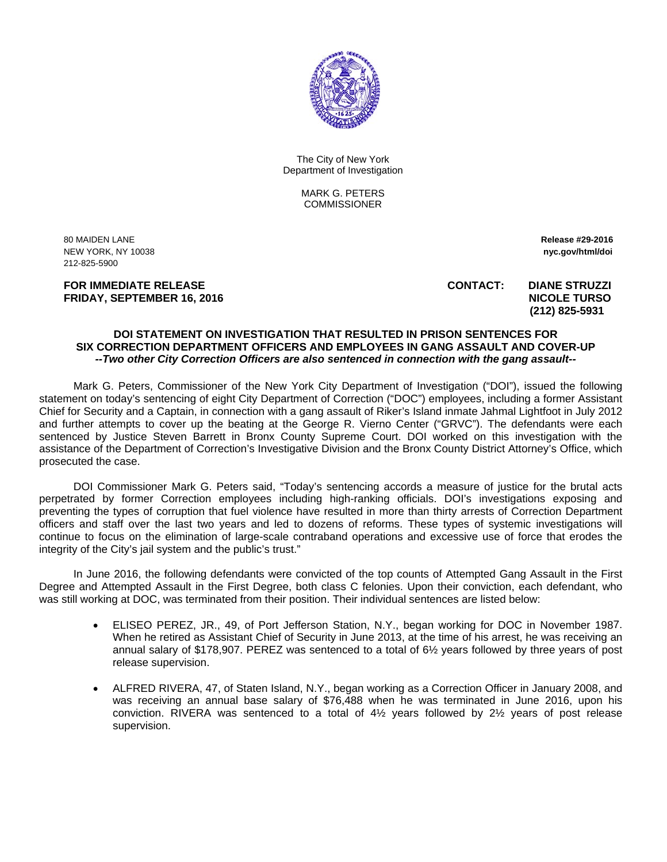

The City of New York Department of Investigation

> MARK G. PETERS COMMISSIONER

80 MAIDEN LANE **Release #29-2016**  NEW YORK, NY 10038 **nyc.gov/html/doi**  212-825-5900

 **(212) 825-5931** 

**FOR IMMEDIATE RELEASE CONTACT: DIANE STRUZZI FRIDAY, SEPTEMBER 16, 2016** NICOLE TURSO

## **DOI STATEMENT ON INVESTIGATION THAT RESULTED IN PRISON SENTENCES FOR SIX CORRECTION DEPARTMENT OFFICERS AND EMPLOYEES IN GANG ASSAULT AND COVER-UP**  *--Two other City Correction Officers are also sentenced in connection with the gang assault--*

Mark G. Peters, Commissioner of the New York City Department of Investigation ("DOI"), issued the following statement on today's sentencing of eight City Department of Correction ("DOC") employees, including a former Assistant Chief for Security and a Captain, in connection with a gang assault of Riker's Island inmate Jahmal Lightfoot in July 2012 and further attempts to cover up the beating at the George R. Vierno Center ("GRVC"). The defendants were each sentenced by Justice Steven Barrett in Bronx County Supreme Court. DOI worked on this investigation with the assistance of the Department of Correction's Investigative Division and the Bronx County District Attorney's Office, which prosecuted the case.

DOI Commissioner Mark G. Peters said, "Today's sentencing accords a measure of justice for the brutal acts perpetrated by former Correction employees including high-ranking officials. DOI's investigations exposing and preventing the types of corruption that fuel violence have resulted in more than thirty arrests of Correction Department officers and staff over the last two years and led to dozens of reforms. These types of systemic investigations will continue to focus on the elimination of large-scale contraband operations and excessive use of force that erodes the integrity of the City's jail system and the public's trust."

In June 2016, the following defendants were convicted of the top counts of Attempted Gang Assault in the First Degree and Attempted Assault in the First Degree, both class C felonies. Upon their conviction, each defendant, who was still working at DOC, was terminated from their position. Their individual sentences are listed below:

- ELISEO PEREZ, JR., 49, of Port Jefferson Station, N.Y., began working for DOC in November 1987. When he retired as Assistant Chief of Security in June 2013, at the time of his arrest, he was receiving an annual salary of \$178,907. PEREZ was sentenced to a total of 6½ years followed by three years of post release supervision.
- ALFRED RIVERA, 47, of Staten Island, N.Y., began working as a Correction Officer in January 2008, and was receiving an annual base salary of \$76,488 when he was terminated in June 2016, upon his conviction. RIVERA was sentenced to a total of 4½ years followed by 2½ years of post release supervision.